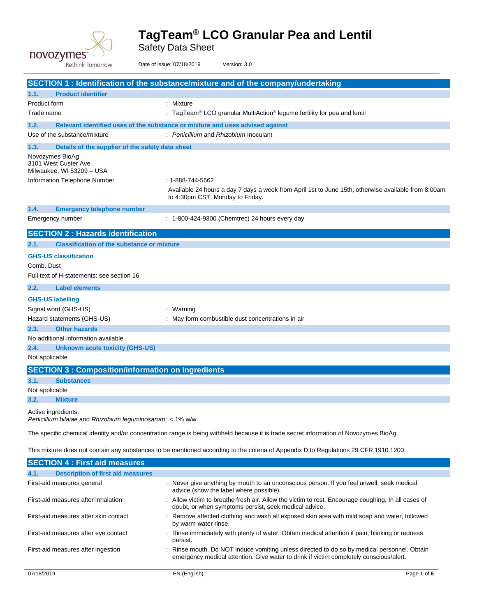

Safety Data Sheet

|                | Rethink Tomorrow                                                                 | Date of issue: 07/18/2019                                                     | Version: 3.0                                                                                                                           |
|----------------|----------------------------------------------------------------------------------|-------------------------------------------------------------------------------|----------------------------------------------------------------------------------------------------------------------------------------|
|                |                                                                                  |                                                                               | SECTION 1 : Identification of the substance/mixture and of the company/undertaking                                                     |
| 1.1.           | <b>Product identifier</b>                                                        |                                                                               |                                                                                                                                        |
| Product form   |                                                                                  | : Mixture                                                                     |                                                                                                                                        |
| Trade name     |                                                                                  |                                                                               | : TagTeam <sup>®</sup> LCO granular MultiAction <sup>®</sup> legume fertility for pea and lentil                                       |
| 1.2.           |                                                                                  | Relevant identified uses of the substance or mixture and uses advised against |                                                                                                                                        |
|                | Use of the substance/mixture                                                     | : Penicillium and Rhizobium Inoculant                                         |                                                                                                                                        |
| 1.3.           | Details of the supplier of the safety data sheet                                 |                                                                               |                                                                                                                                        |
|                | Novozymes BioAq<br>3101 West Custer Ave<br>Milwaukee, WI 53209 - USA             |                                                                               |                                                                                                                                        |
|                | Information Telephone Number                                                     | : 1-888-744-5662                                                              |                                                                                                                                        |
|                |                                                                                  | to 4:30pm CST, Monday to Friday.                                              | Available 24 hours a day 7 days a week from April 1st to June 15th, otherwise available from 8:00am                                    |
| 1.4.           | <b>Emergency telephone number</b>                                                |                                                                               |                                                                                                                                        |
|                | Emergency number                                                                 |                                                                               | : 1-800-424-9300 (Chemtrec) 24 hours every day                                                                                         |
|                | <b>SECTION 2: Hazards identification</b>                                         |                                                                               |                                                                                                                                        |
| 2.1.           | <b>Classification of the substance or mixture</b>                                |                                                                               |                                                                                                                                        |
|                | <b>GHS-US classification</b>                                                     |                                                                               |                                                                                                                                        |
| Comb. Dust     |                                                                                  |                                                                               |                                                                                                                                        |
|                | Full text of H-statements: see section 16                                        |                                                                               |                                                                                                                                        |
| 2.2.           | <b>Label elements</b>                                                            |                                                                               |                                                                                                                                        |
|                | <b>GHS-US labelling</b>                                                          |                                                                               |                                                                                                                                        |
|                | Signal word (GHS-US)                                                             | : Warning                                                                     |                                                                                                                                        |
|                | Hazard statements (GHS-US)                                                       |                                                                               | : May form combustible dust concentrations in air                                                                                      |
| 2.3.           | <b>Other hazards</b>                                                             |                                                                               |                                                                                                                                        |
|                | No additional information available                                              |                                                                               |                                                                                                                                        |
| 2.4.           | <b>Unknown acute toxicity (GHS-US)</b>                                           |                                                                               |                                                                                                                                        |
| Not applicable |                                                                                  |                                                                               |                                                                                                                                        |
|                |                                                                                  | <b>SECTION 3 : Composition/information on ingredients</b>                     |                                                                                                                                        |
| 3.1.           | <b>Substances</b>                                                                |                                                                               |                                                                                                                                        |
| Not applicable |                                                                                  |                                                                               |                                                                                                                                        |
| 3.2.           | <b>Mixture</b>                                                                   |                                                                               |                                                                                                                                        |
|                | Active ingredients:<br>Penicillium bilaiae and Rhizobium leguminosarum: < 1% w/w |                                                                               |                                                                                                                                        |
|                |                                                                                  |                                                                               | The specific chemical identity and/or concentration range is being withheld because it is trade secret information of Novozymes BioAg. |
|                |                                                                                  |                                                                               | This mixture does not contain any substances to be mentioned according to the criteria of Appendix D to Regulations 29 CFR 1910.1200.  |
|                | <b>SECTION 4 : First aid measures</b>                                            |                                                                               |                                                                                                                                        |
| 4.1.           | <b>Description of first aid measures</b>                                         |                                                                               |                                                                                                                                        |
|                | First-aid measures general                                                       |                                                                               | : Never give anything by mouth to an unconscious person. If you feel unwell, seek medical<br>advice (show the label where possible).   |

First-aid measures after ingestion : Rinse mouth. Do NOT induce vomiting unless directed to do so by medical personnel. Obtain emergency medical attention. Give water to drink if victim completely conscious/alert.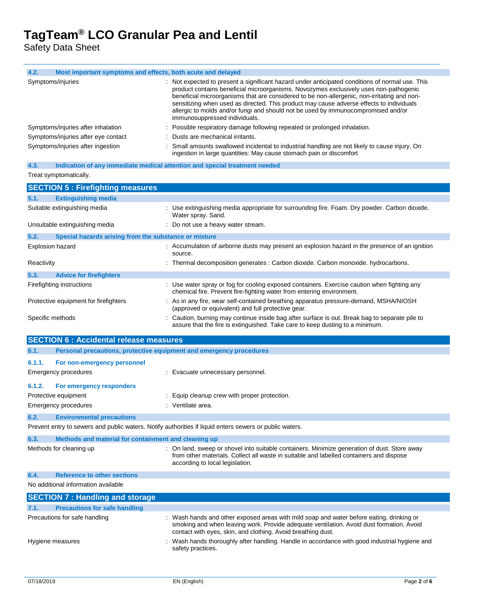Safety Data Sheet

| 4.2.<br>Most important symptoms and effects, both acute and delayed                                     |                                                                                                                                                                                                                                                                                                                                                                                                                                                                                                           |
|---------------------------------------------------------------------------------------------------------|-----------------------------------------------------------------------------------------------------------------------------------------------------------------------------------------------------------------------------------------------------------------------------------------------------------------------------------------------------------------------------------------------------------------------------------------------------------------------------------------------------------|
| Symptoms/injuries                                                                                       | : Not expected to present a significant hazard under anticipated conditions of normal use. This<br>product contains beneficial microorganisms. Novozymes exclusively uses non-pathogenic<br>beneficial microorganisms that are considered to be non-allergenic, non-irritating and non-<br>sensitizing when used as directed. This product may cause adverse effects to individuals<br>allergic to molds and/or fungi and should not be used by immunocompromised and/or<br>immunosuppressed individuals. |
| Symptoms/injuries after inhalation                                                                      | Possible respiratory damage following repeated or prolonged inhalation.                                                                                                                                                                                                                                                                                                                                                                                                                                   |
| Symptoms/injuries after eye contact                                                                     | Dusts are mechanical irritants.                                                                                                                                                                                                                                                                                                                                                                                                                                                                           |
| Symptoms/injuries after ingestion                                                                       | Small amounts swallowed incidental to industrial handling are not likely to cause injury. On<br>ingestion in large quantities: May cause stomach pain or discomfort                                                                                                                                                                                                                                                                                                                                       |
| Indication of any immediate medical attention and special treatment needed<br>4.3.                      |                                                                                                                                                                                                                                                                                                                                                                                                                                                                                                           |
| Treat symptomatically.                                                                                  |                                                                                                                                                                                                                                                                                                                                                                                                                                                                                                           |
| <b>SECTION 5: Firefighting measures</b>                                                                 |                                                                                                                                                                                                                                                                                                                                                                                                                                                                                                           |
| <b>Extinguishing media</b><br>5.1.                                                                      |                                                                                                                                                                                                                                                                                                                                                                                                                                                                                                           |
| Suitable extinguishing media                                                                            | : Use extinguishing media appropriate for surrounding fire. Foam. Dry powder. Carbon dioxide.<br>Water spray. Sand.                                                                                                                                                                                                                                                                                                                                                                                       |
| Unsuitable extinguishing media                                                                          | : Do not use a heavy water stream.                                                                                                                                                                                                                                                                                                                                                                                                                                                                        |
| 5.2.<br>Special hazards arising from the substance or mixture                                           |                                                                                                                                                                                                                                                                                                                                                                                                                                                                                                           |
| <b>Explosion hazard</b>                                                                                 | : Accumulation of airborne dusts may present an explosion hazard in the presence of an ignition<br>source.                                                                                                                                                                                                                                                                                                                                                                                                |
| Reactivity                                                                                              | : Thermal decomposition generates : Carbon dioxide. Carbon monoxide. hydrocarbons.                                                                                                                                                                                                                                                                                                                                                                                                                        |
| 5.3.<br><b>Advice for firefighters</b>                                                                  |                                                                                                                                                                                                                                                                                                                                                                                                                                                                                                           |
| Firefighting instructions                                                                               | : Use water spray or fog for cooling exposed containers. Exercise caution when fighting any                                                                                                                                                                                                                                                                                                                                                                                                               |
|                                                                                                         | chemical fire. Prevent fire-fighting water from entering environment.                                                                                                                                                                                                                                                                                                                                                                                                                                     |
| Protective equipment for firefighters                                                                   | : As in any fire, wear self-contained breathing apparatus pressure-demand, MSHA/NIOSH<br>(approved or equivalent) and full protective gear.                                                                                                                                                                                                                                                                                                                                                               |
|                                                                                                         |                                                                                                                                                                                                                                                                                                                                                                                                                                                                                                           |
| Specific methods                                                                                        | : Caution, burning may continue inside bag after surface is out. Break bag to separate pile to<br>assure that the fire is extinguished. Take care to keep dusting to a minimum.                                                                                                                                                                                                                                                                                                                           |
|                                                                                                         |                                                                                                                                                                                                                                                                                                                                                                                                                                                                                                           |
| <b>SECTION 6 : Accidental release measures</b>                                                          |                                                                                                                                                                                                                                                                                                                                                                                                                                                                                                           |
| 6.1.<br>Personal precautions, protective equipment and emergency procedures                             |                                                                                                                                                                                                                                                                                                                                                                                                                                                                                                           |
| 6.1.1.<br>For non-emergency personnel                                                                   |                                                                                                                                                                                                                                                                                                                                                                                                                                                                                                           |
| <b>Emergency procedures</b>                                                                             | : Evacuate unnecessary personnel.                                                                                                                                                                                                                                                                                                                                                                                                                                                                         |
| 6.1.2.<br>For emergency responders                                                                      |                                                                                                                                                                                                                                                                                                                                                                                                                                                                                                           |
| Protective equipment                                                                                    | Equip cleanup crew with proper protection.                                                                                                                                                                                                                                                                                                                                                                                                                                                                |
| <b>Emergency procedures</b>                                                                             | : Ventilate area.                                                                                                                                                                                                                                                                                                                                                                                                                                                                                         |
| 6.2.<br><b>Environmental precautions</b>                                                                |                                                                                                                                                                                                                                                                                                                                                                                                                                                                                                           |
| Prevent entry to sewers and public waters. Notify authorities if liquid enters sewers or public waters. |                                                                                                                                                                                                                                                                                                                                                                                                                                                                                                           |
|                                                                                                         |                                                                                                                                                                                                                                                                                                                                                                                                                                                                                                           |
| 6.3.<br>Methods and material for containment and cleaning up<br>Methods for cleaning up                 | : On land, sweep or shovel into suitable containers. Minimize generation of dust. Store away                                                                                                                                                                                                                                                                                                                                                                                                              |
|                                                                                                         | from other materials. Collect all waste in suitable and labelled containers and dispose<br>according to local legislation.                                                                                                                                                                                                                                                                                                                                                                                |
| 6.4.<br><b>Reference to other sections</b>                                                              |                                                                                                                                                                                                                                                                                                                                                                                                                                                                                                           |
| No additional information available                                                                     |                                                                                                                                                                                                                                                                                                                                                                                                                                                                                                           |
| <b>SECTION 7: Handling and storage</b>                                                                  |                                                                                                                                                                                                                                                                                                                                                                                                                                                                                                           |
| 7.1.<br><b>Precautions for safe handling</b>                                                            |                                                                                                                                                                                                                                                                                                                                                                                                                                                                                                           |
| Precautions for safe handling                                                                           | : Wash hands and other exposed areas with mild soap and water before eating, drinking or                                                                                                                                                                                                                                                                                                                                                                                                                  |
|                                                                                                         | smoking and when leaving work. Provide adequate ventilation. Avoid dust formation. Avoid<br>contact with eyes, skin, and clothing. Avoid breathing dust.                                                                                                                                                                                                                                                                                                                                                  |
| Hygiene measures                                                                                        | Wash hands thoroughly after handling. Handle in accordance with good industrial hygiene and<br>safety practices.                                                                                                                                                                                                                                                                                                                                                                                          |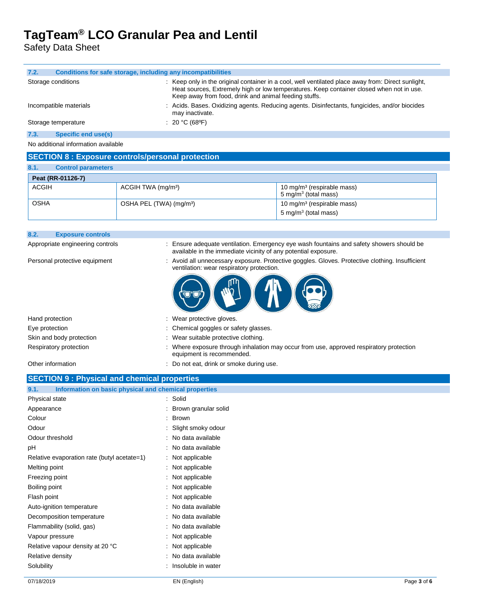Safety Data Sheet

| Conditions for safe storage, including any incompatibilities<br>7.2. |                                                                                                                                                                                                                                                         |  |
|----------------------------------------------------------------------|---------------------------------------------------------------------------------------------------------------------------------------------------------------------------------------------------------------------------------------------------------|--|
| Storage conditions                                                   | : Keep only in the original container in a cool, well ventilated place away from: Direct sunlight,<br>Heat sources, Extremely high or low temperatures. Keep container closed when not in use.<br>Keep away from food, drink and animal feeding stuffs. |  |
| Incompatible materials                                               | : Acids. Bases. Oxidizing agents. Reducing agents. Disinfectants, fungicides, and/or biocides<br>may inactivate.                                                                                                                                        |  |
| Storage temperature                                                  | : 20 °C (68 °F)                                                                                                                                                                                                                                         |  |
| Specific end use(s)<br>7.3.                                          |                                                                                                                                                                                                                                                         |  |
| No additional information available                                  |                                                                                                                                                                                                                                                         |  |

### **SECTION 8 : Exposure controls/personal protection**

| 8.1.<br><b>Control parameters</b> |                                     |                                                                            |
|-----------------------------------|-------------------------------------|----------------------------------------------------------------------------|
| Peat (RR-01126-7)                 |                                     |                                                                            |
| ACGIH                             | ACGIH TWA (mg/m <sup>3</sup> )      | 10 mg/m <sup>3</sup> (respirable mass)<br>5 mg/m <sup>3</sup> (total mass) |
| <b>OSHA</b>                       | OSHA PEL (TWA) (mg/m <sup>3</sup> ) | 10 mg/m <sup>3</sup> (respirable mass)<br>5 mg/m $3$ (total mass)          |

| <b>OSHA</b> |                          | OSHA PEL (TWA) (mg/m <sup>3</sup> ) | 10 mg/m <sup>3</sup> (respirable mass)<br>$\frac{1}{2}$ 5 mg/m <sup>3</sup> (total mass) |
|-------------|--------------------------|-------------------------------------|------------------------------------------------------------------------------------------|
| 8.2.        | <b>Exposure controls</b> |                                     |                                                                                          |

| Appropriate engineering controls | : Ensure adequate ventilation. Emergency eye wash fountains and safety showers should be<br>available in the immediate vicinity of any potential exposure. |
|----------------------------------|------------------------------------------------------------------------------------------------------------------------------------------------------------|
| Personal protective equipment    | : Avoid all unnecessary exposure. Protective goggles. Gloves. Protective clothing. Insufficient<br>ventilation: wear respiratory protection.               |
|                                  | 49 4 6                                                                                                                                                     |

| Hand protection          | : Wear protective gloves.                                                                                          |
|--------------------------|--------------------------------------------------------------------------------------------------------------------|
| Eye protection           | : Chemical goggles or safety glasses.                                                                              |
| Skin and body protection | : Wear suitable protective clothing.                                                                               |
| Respiratory protection   | Where exposure through inhalation may occur from use, approved respiratory protection<br>equipment is recommended. |
| Other information        | : Do not eat, drink or smoke during use.                                                                           |

#### **SECTION 9 : Physical and chemical properties**

| 9.1.<br>Information on basic physical and chemical properties |                        |  |
|---------------------------------------------------------------|------------------------|--|
| Physical state                                                | : Solid                |  |
| Appearance                                                    | : Brown granular solid |  |
| Colour                                                        | : Brown                |  |
| Odour                                                         | : Slight smoky odour   |  |
| Odour threshold                                               | : No data available    |  |
| рH                                                            | : No data available    |  |
| Relative evaporation rate (butyl acetate=1)                   | : Not applicable       |  |
| Melting point                                                 | : Not applicable       |  |
| Freezing point                                                | : Not applicable       |  |
| Boiling point                                                 | : Not applicable       |  |
| Flash point                                                   | : Not applicable       |  |
| Auto-ignition temperature                                     | : No data available    |  |
| Decomposition temperature                                     | : No data available    |  |
| Flammability (solid, gas)                                     | : No data available    |  |
| Vapour pressure                                               | : Not applicable       |  |
| Relative vapour density at 20 °C                              | : Not applicable       |  |
| Relative density                                              | : No data available    |  |
| Solubility                                                    | : Insoluble in water   |  |
|                                                               |                        |  |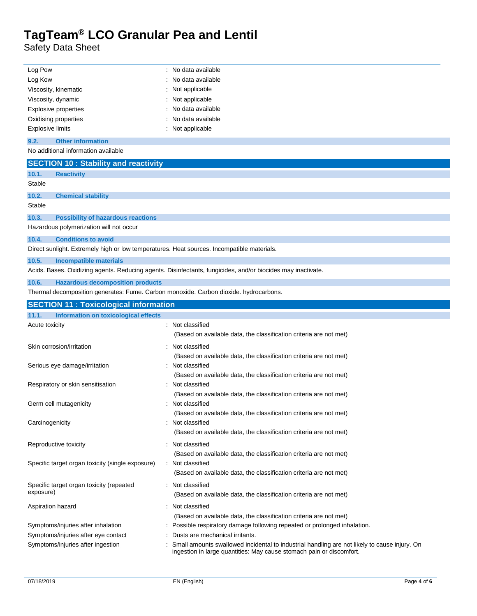Safety Data Sheet

 $\overline{a}$ 

| Log Pow                                                                                    | : No data available                                                                                                             |
|--------------------------------------------------------------------------------------------|---------------------------------------------------------------------------------------------------------------------------------|
| Log Kow                                                                                    | No data available                                                                                                               |
| Viscosity, kinematic                                                                       | Not applicable                                                                                                                  |
| Viscosity, dynamic                                                                         | Not applicable                                                                                                                  |
| <b>Explosive properties</b>                                                                | No data available                                                                                                               |
| Oxidising properties                                                                       | No data available                                                                                                               |
| <b>Explosive limits</b>                                                                    | : Not applicable                                                                                                                |
| 9.2.<br><b>Other information</b>                                                           |                                                                                                                                 |
| No additional information available                                                        |                                                                                                                                 |
| <b>SECTION 10: Stability and reactivity</b>                                                |                                                                                                                                 |
|                                                                                            |                                                                                                                                 |
| 10.1.<br><b>Reactivity</b><br>Stable                                                       |                                                                                                                                 |
| 10.2.<br><b>Chemical stability</b>                                                         |                                                                                                                                 |
| Stable                                                                                     |                                                                                                                                 |
| 10.3.<br><b>Possibility of hazardous reactions</b>                                         |                                                                                                                                 |
| Hazardous polymerization will not occur                                                    |                                                                                                                                 |
| <b>Conditions to avoid</b><br>10.4.                                                        |                                                                                                                                 |
| Direct sunlight. Extremely high or low temperatures. Heat sources. Incompatible materials. |                                                                                                                                 |
| 10.5.<br><b>Incompatible materials</b>                                                     |                                                                                                                                 |
|                                                                                            | Acids. Bases. Oxidizing agents. Reducing agents. Disinfectants, fungicides, and/or biocides may inactivate.                     |
| 10.6.<br><b>Hazardous decomposition products</b>                                           |                                                                                                                                 |
| Thermal decomposition generates: Fume. Carbon monoxide. Carbon dioxide. hydrocarbons.      |                                                                                                                                 |
| <b>SECTION 11: Toxicological information</b>                                               |                                                                                                                                 |
|                                                                                            |                                                                                                                                 |
|                                                                                            |                                                                                                                                 |
| 11.1.<br>Information on toxicological effects                                              |                                                                                                                                 |
| Acute toxicity                                                                             | : Not classified<br>(Based on available data, the classification criteria are not met)                                          |
|                                                                                            |                                                                                                                                 |
| Skin corrosion/irritation                                                                  | Not classified                                                                                                                  |
|                                                                                            | (Based on available data, the classification criteria are not met)<br>Not classified                                            |
| Serious eye damage/irritation                                                              |                                                                                                                                 |
| Respiratory or skin sensitisation                                                          | (Based on available data, the classification criteria are not met)<br>Not classified                                            |
|                                                                                            | (Based on available data, the classification criteria are not met)                                                              |
| Germ cell mutagenicity                                                                     | Not classified                                                                                                                  |
|                                                                                            | (Based on available data, the classification criteria are not met)                                                              |
| Carcinogenicity                                                                            | Not classified                                                                                                                  |
|                                                                                            | (Based on available data, the classification criteria are not met)                                                              |
|                                                                                            |                                                                                                                                 |
| Reproductive toxicity                                                                      | : Not classified                                                                                                                |
| Specific target organ toxicity (single exposure)                                           | (Based on available data, the classification criteria are not met)<br>: Not classified                                          |
|                                                                                            | (Based on available data, the classification criteria are not met)                                                              |
|                                                                                            |                                                                                                                                 |
| Specific target organ toxicity (repeated<br>exposure)                                      | : Not classified                                                                                                                |
|                                                                                            | (Based on available data, the classification criteria are not met)                                                              |
| Aspiration hazard                                                                          | : Not classified                                                                                                                |
|                                                                                            | (Based on available data, the classification criteria are not met)                                                              |
| Symptoms/injuries after inhalation                                                         | : Possible respiratory damage following repeated or prolonged inhalation.                                                       |
| Symptoms/injuries after eye contact<br>Symptoms/injuries after ingestion                   | Dusts are mechanical irritants.<br>Small amounts swallowed incidental to industrial handling are not likely to cause injury. On |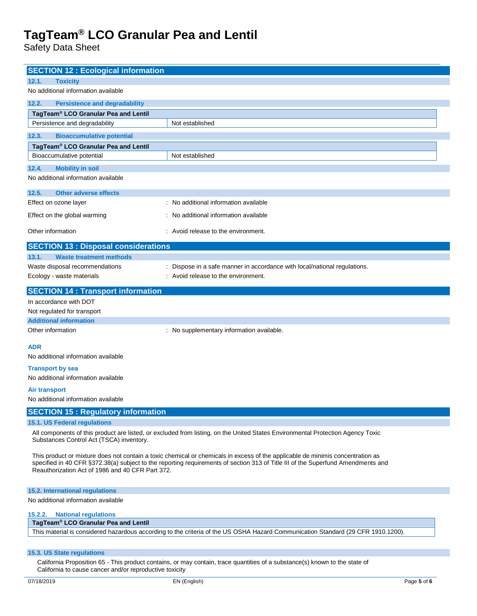Safety Data Sheet

| <b>SECTION 12 : Ecological information</b>                                                                                       |                                                                                                                                 |  |
|----------------------------------------------------------------------------------------------------------------------------------|---------------------------------------------------------------------------------------------------------------------------------|--|
| 12.1.<br><b>Toxicity</b>                                                                                                         |                                                                                                                                 |  |
| No additional information available                                                                                              |                                                                                                                                 |  |
| 12.2.<br><b>Persistence and degradability</b>                                                                                    |                                                                                                                                 |  |
| TagTeam® LCO Granular Pea and Lentil                                                                                             |                                                                                                                                 |  |
| Persistence and degradability                                                                                                    | Not established                                                                                                                 |  |
| 12.3.<br><b>Bioaccumulative potential</b>                                                                                        |                                                                                                                                 |  |
| TagTeam® LCO Granular Pea and Lentil<br>Bioaccumulative potential                                                                | Not established                                                                                                                 |  |
|                                                                                                                                  |                                                                                                                                 |  |
| 12.4.<br><b>Mobility in soil</b><br>No additional information available                                                          |                                                                                                                                 |  |
|                                                                                                                                  |                                                                                                                                 |  |
| 12.5.<br><b>Other adverse effects</b>                                                                                            |                                                                                                                                 |  |
| Effect on ozone layer                                                                                                            | : No additional information available                                                                                           |  |
| Effect on the global warming                                                                                                     | No additional information available                                                                                             |  |
| Other information                                                                                                                | : Avoid release to the environment.                                                                                             |  |
| <b>SECTION 13 : Disposal considerations</b>                                                                                      |                                                                                                                                 |  |
| 13.1.<br><b>Waste treatment methods</b>                                                                                          |                                                                                                                                 |  |
| Waste disposal recommendations                                                                                                   | Dispose in a safe manner in accordance with local/national regulations.                                                         |  |
| Ecology - waste materials                                                                                                        | : Avoid release to the environment.                                                                                             |  |
| <b>SECTION 14 : Transport information</b>                                                                                        |                                                                                                                                 |  |
| In accordance with DOT                                                                                                           |                                                                                                                                 |  |
| Not regulated for transport                                                                                                      |                                                                                                                                 |  |
| <b>Additional information</b><br>Other information                                                                               | : No supplementary information available.                                                                                       |  |
|                                                                                                                                  |                                                                                                                                 |  |
| ADR                                                                                                                              |                                                                                                                                 |  |
| No additional information available                                                                                              |                                                                                                                                 |  |
| <b>Transport by sea</b>                                                                                                          |                                                                                                                                 |  |
| No additional information available                                                                                              |                                                                                                                                 |  |
| Air transport<br>No additional information available                                                                             |                                                                                                                                 |  |
|                                                                                                                                  |                                                                                                                                 |  |
| <b>SECTION 15: Regulatory information</b><br>15.1. US Federal regulations                                                        |                                                                                                                                 |  |
|                                                                                                                                  | All components of this product are listed, or excluded from listing, on the United States Environmental Protection Agency Toxic |  |
| Substances Control Act (TSCA) inventory.                                                                                         |                                                                                                                                 |  |
|                                                                                                                                  | This product or mixture does not contain a toxic chemical or chemicals in excess of the applicable de minimis concentration as  |  |
| specified in 40 CFR §372.38(a) subject to the reporting requirements of section 313 of Title III of the Superfund Amendments and |                                                                                                                                 |  |
| Reauthorization Act of 1986 and 40 CFR Part 372.                                                                                 |                                                                                                                                 |  |
| <b>15.2. International regulations</b>                                                                                           |                                                                                                                                 |  |
| No additional information available                                                                                              |                                                                                                                                 |  |
| <b>National regulations</b><br>15.2.2.                                                                                           |                                                                                                                                 |  |
| TagTeam <sup>®</sup> LCO Granular Pea and Lentil                                                                                 |                                                                                                                                 |  |
| This material is considered hazardous according to the criteria of the US OSHA Hazard Communication Standard (29 CFR 1910.1200). |                                                                                                                                 |  |
|                                                                                                                                  |                                                                                                                                 |  |
| 15.3. US State regulations                                                                                                       | California Proposition 65 - This product contains, or may contain, trace quantities of a substance(s) known to the state of     |  |

California to cause cancer and/or reproductive toxicity